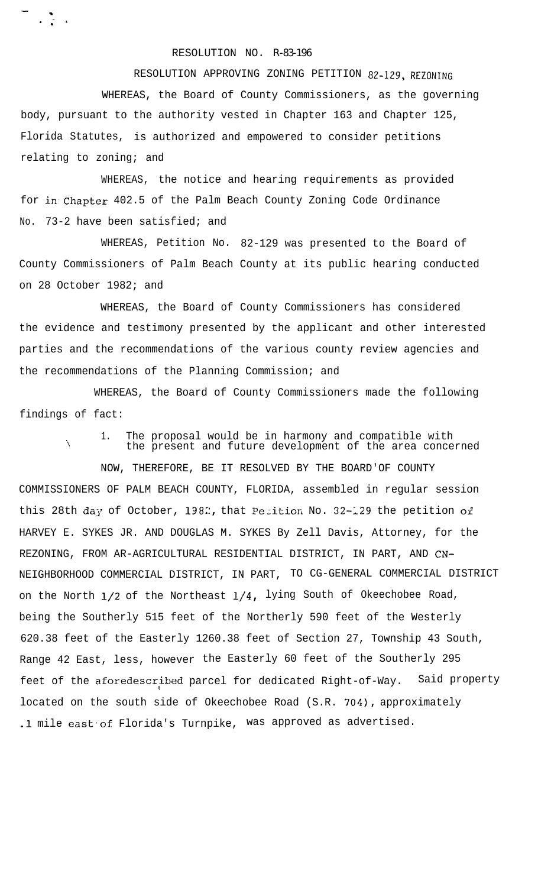## RESOLUTION NO. R-83-196

-

 $\ddot{\cdot}$  .

RESOLUTION APPROVING ZONING PETITION 82-129, REZONING WHEREAS, the Board of County Commissioners, as the governing body, pursuant to the authority vested in Chapter 163 and Chapter 125, Florida Statutes, is authorized and empowered to consider petitions relating to zoning; and

WHEREAS, the notice and hearing requirements as provided for in.Chapter 402.5 of the Palm Beach County Zoning Code Ordinance No. 73-2 have been satisfied; and

WHEREAS, Petition No. 82-129 was presented to the Board of County Commissioners of Palm Beach County at its public hearing conducted on 28 October 1982; and

WHEREAS, the Board of County Commissioners has considered the evidence and testimony presented by the applicant and other interested parties and the recommendations of the various county review agencies and the recommendations of the Planning Commission; and

WHEREAS, the Board of County Commissioners made the following findings of fact:

1. The proposal would be in harmony and compatible with the present and future development of the area concerned

NOW, THEREFORE, BE IT RESOLVED BY THE BOARD'OF COUNTY

COMMISSIONERS OF PALM BEACH COUNTY, FLORIDA, assembled in regular session this 28th day of October, 1982, that Petition No. 32-129 the petition of HARVEY E. SYKES JR. AND DOUGLAS M. SYKES By Zell Davis, Attorney, for the REZONING, FROM AR-AGRICULTURAL RESIDENTIAL DISTRICT, IN PART, AND CN-NEIGHBORHOOD COMMERCIAL DISTRICT, IN PART, TO CG-GENERAL COMMERCIAL DISTRICT on the North  $1/2$  of the Northeast  $1/4$ , lying South of Okeechobee Road, being the Southerly 515 feet of the Northerly 590 feet of the Westerly 620.38 feet of the Easterly 1260.38 feet of Section 27, Township 43 South, Range 42 East, less, however the Easterly 60 feet of the Southerly 295 feet of the aforedescribed parcel for dedicated Right-of-Way. Said property located on the south side of Okeechobee Road (S.R. 704), approximately .1 mile east of Florida's Turnpike, was approved as advertised.